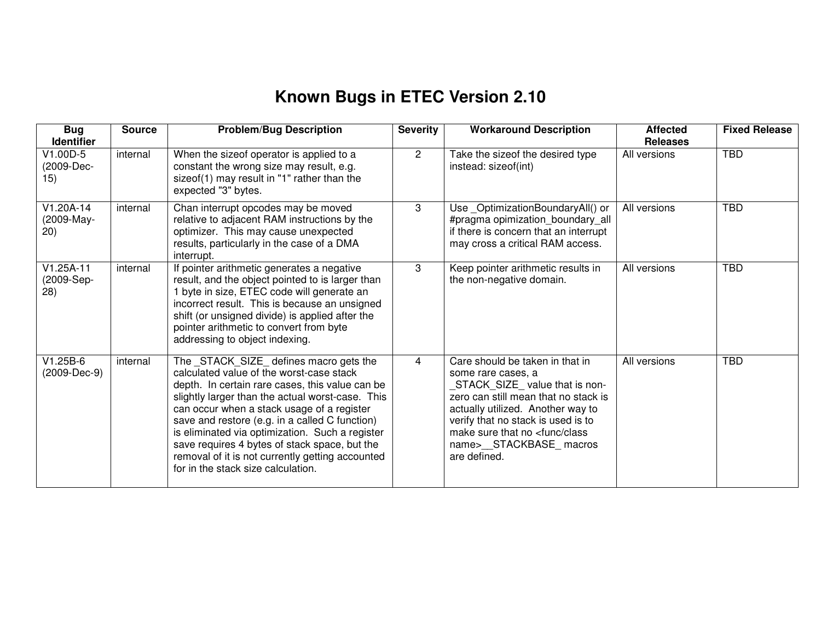## **Known Bugs in ETEC Version 2.10**

| <b>Bug</b><br><b>Identifier</b>   | <b>Source</b> | <b>Problem/Bug Description</b>                                                                                                                                                                                                                                                                                                                                                                                                                                                           | <b>Severity</b> | <b>Workaround Description</b>                                                                                                                                                                                                                                                                       | <b>Affected</b><br><b>Releases</b> | <b>Fixed Release</b> |
|-----------------------------------|---------------|------------------------------------------------------------------------------------------------------------------------------------------------------------------------------------------------------------------------------------------------------------------------------------------------------------------------------------------------------------------------------------------------------------------------------------------------------------------------------------------|-----------------|-----------------------------------------------------------------------------------------------------------------------------------------------------------------------------------------------------------------------------------------------------------------------------------------------------|------------------------------------|----------------------|
| V1.00D-5<br>(2009-Dec-<br>15)     | internal      | When the sizeof operator is applied to a<br>constant the wrong size may result, e.g.<br>sizeof(1) may result in "1" rather than the<br>expected "3" bytes.                                                                                                                                                                                                                                                                                                                               | $\overline{2}$  | Take the sizeof the desired type<br>instead: sizeof(int)                                                                                                                                                                                                                                            | All versions                       | <b>TBD</b>           |
| $V1.20A-14$<br>(2009-May-<br>20)  | internal      | Chan interrupt opcodes may be moved<br>relative to adjacent RAM instructions by the<br>optimizer. This may cause unexpected<br>results, particularly in the case of a DMA<br>interrupt.                                                                                                                                                                                                                                                                                                  | 3               | Use OptimizationBoundaryAll() or<br>#pragma opimization_boundary_all<br>if there is concern that an interrupt<br>may cross a critical RAM access.                                                                                                                                                   | All versions                       | <b>TBD</b>           |
| $V1.25A-11$<br>(2009-Sep-<br>(28) | internal      | If pointer arithmetic generates a negative<br>result, and the object pointed to is larger than<br>1 byte in size, ETEC code will generate an<br>incorrect result. This is because an unsigned<br>shift (or unsigned divide) is applied after the<br>pointer arithmetic to convert from byte<br>addressing to object indexing.                                                                                                                                                            | 3               | Keep pointer arithmetic results in<br>the non-negative domain.                                                                                                                                                                                                                                      | All versions                       | <b>TBD</b>           |
| $V1.25B-6$<br>(2009-Dec-9)        | internal      | The _STACK_SIZE_ defines macro gets the<br>calculated value of the worst-case stack<br>depth. In certain rare cases, this value can be<br>slightly larger than the actual worst-case. This<br>can occur when a stack usage of a register<br>save and restore (e.g. in a called C function)<br>is eliminated via optimization. Such a register<br>save requires 4 bytes of stack space, but the<br>removal of it is not currently getting accounted<br>for in the stack size calculation. | 4               | Care should be taken in that in<br>some rare cases, a<br>STACK_SIZE_value that is non-<br>zero can still mean that no stack is<br>actually utilized. Another way to<br>verify that no stack is used is to<br>make sure that no <func class<br="">name&gt;__STACKBASE_macros<br/>are defined.</func> | All versions                       | <b>TBD</b>           |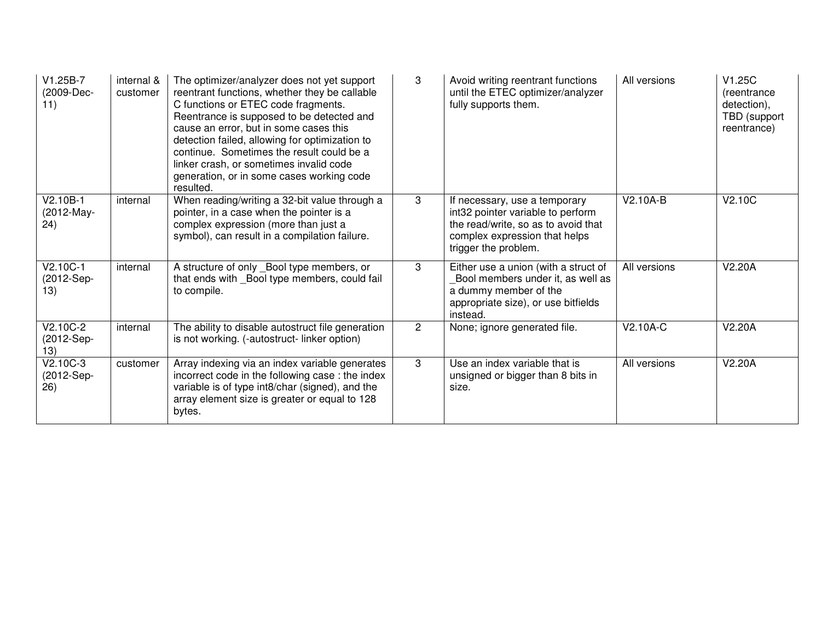| V1.25B-7<br>(2009-Dec-<br>11)   | internal &<br>customer | The optimizer/analyzer does not yet support<br>reentrant functions, whether they be callable<br>C functions or ETEC code fragments.<br>Reentrance is supposed to be detected and<br>cause an error, but in some cases this<br>detection failed, allowing for optimization to<br>continue. Sometimes the result could be a<br>linker crash, or sometimes invalid code<br>generation, or in some cases working code<br>resulted. | 3              | Avoid writing reentrant functions<br>until the ETEC optimizer/analyzer<br>fully supports them.                                                                     | All versions | V1.25C<br>(reentrance<br>detection),<br>TBD (support<br>reentrance) |
|---------------------------------|------------------------|--------------------------------------------------------------------------------------------------------------------------------------------------------------------------------------------------------------------------------------------------------------------------------------------------------------------------------------------------------------------------------------------------------------------------------|----------------|--------------------------------------------------------------------------------------------------------------------------------------------------------------------|--------------|---------------------------------------------------------------------|
| V2.10B-1<br>(2012-May-<br>(24)  | internal               | When reading/writing a 32-bit value through a<br>pointer, in a case when the pointer is a<br>complex expression (more than just a<br>symbol), can result in a compilation failure.                                                                                                                                                                                                                                             | 3              | If necessary, use a temporary<br>int32 pointer variable to perform<br>the read/write, so as to avoid that<br>complex expression that helps<br>trigger the problem. | V2.10A-B     | V2.10C                                                              |
| $V2.10C-1$<br>(2012-Sep-<br>13) | internal               | A structure of only _Bool type members, or<br>that ends with _Bool type members, could fail<br>to compile.                                                                                                                                                                                                                                                                                                                     | 3              | Either use a union (with a struct of<br>Bool members under it, as well as<br>a dummy member of the<br>appropriate size), or use bitfields<br>instead.              | All versions | V2.20A                                                              |
| V2.10C-2<br>(2012-Sep-<br>13)   | internal               | The ability to disable autostruct file generation<br>is not working. (-autostruct-linker option)                                                                                                                                                                                                                                                                                                                               | $\overline{2}$ | None; ignore generated file.                                                                                                                                       | V2.10A-C     | V2.20A                                                              |
| $V2.10C-3$<br>(2012-Sep-<br>26) | customer               | Array indexing via an index variable generates<br>incorrect code in the following case: the index<br>variable is of type int8/char (signed), and the<br>array element size is greater or equal to 128<br>bytes.                                                                                                                                                                                                                | 3              | Use an index variable that is<br>unsigned or bigger than 8 bits in<br>size.                                                                                        | All versions | V2.20A                                                              |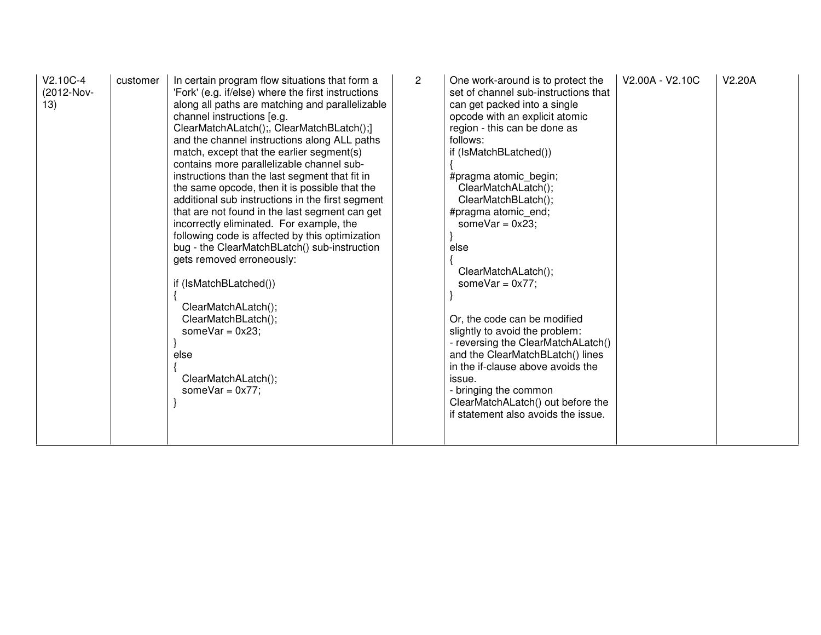| $V2.10C-4$<br>(2012-Nov-<br>13) | customer | In certain program flow situations that form a<br>'Fork' (e.g. if/else) where the first instructions<br>along all paths are matching and parallelizable<br>channel instructions [e.g.<br>ClearMatchALatch();, ClearMatchBLatch();]<br>and the channel instructions along ALL paths<br>match, except that the earlier segment(s)<br>contains more parallelizable channel sub-<br>instructions than the last segment that fit in<br>the same opcode, then it is possible that the<br>additional sub instructions in the first segment<br>that are not found in the last segment can get<br>incorrectly eliminated. For example, the<br>following code is affected by this optimization<br>bug - the ClearMatchBLatch() sub-instruction<br>gets removed erroneously:<br>if (IsMatchBLatched())<br>ClearMatchALatch();<br>ClearMatchBLatch();<br>someVar = $0x23$ ;<br>else<br>ClearMatchALatch();<br>someVar = $0x77$ ; | $\overline{2}$ | One work-around is to protect the<br>set of channel sub-instructions that<br>can get packed into a single<br>opcode with an explicit atomic<br>region - this can be done as<br>follows:<br>if (IsMatchBLatched())<br>#pragma atomic begin;<br>ClearMatchALatch();<br>ClearMatchBLatch();<br>#pragma atomic end;<br>someVar = $0x23$ ;<br>else<br>ClearMatchALatch();<br>someVar = $0x77$ ;<br>Or, the code can be modified<br>slightly to avoid the problem:<br>- reversing the ClearMatchALatch()<br>and the ClearMatchBLatch() lines<br>in the if-clause above avoids the<br>issue.<br>- bringing the common<br>ClearMatchALatch() out before the<br>if statement also avoids the issue. | V2.00A - V2.10C | V <sub>2.20</sub> A |
|---------------------------------|----------|----------------------------------------------------------------------------------------------------------------------------------------------------------------------------------------------------------------------------------------------------------------------------------------------------------------------------------------------------------------------------------------------------------------------------------------------------------------------------------------------------------------------------------------------------------------------------------------------------------------------------------------------------------------------------------------------------------------------------------------------------------------------------------------------------------------------------------------------------------------------------------------------------------------------|----------------|--------------------------------------------------------------------------------------------------------------------------------------------------------------------------------------------------------------------------------------------------------------------------------------------------------------------------------------------------------------------------------------------------------------------------------------------------------------------------------------------------------------------------------------------------------------------------------------------------------------------------------------------------------------------------------------------|-----------------|---------------------|
|---------------------------------|----------|----------------------------------------------------------------------------------------------------------------------------------------------------------------------------------------------------------------------------------------------------------------------------------------------------------------------------------------------------------------------------------------------------------------------------------------------------------------------------------------------------------------------------------------------------------------------------------------------------------------------------------------------------------------------------------------------------------------------------------------------------------------------------------------------------------------------------------------------------------------------------------------------------------------------|----------------|--------------------------------------------------------------------------------------------------------------------------------------------------------------------------------------------------------------------------------------------------------------------------------------------------------------------------------------------------------------------------------------------------------------------------------------------------------------------------------------------------------------------------------------------------------------------------------------------------------------------------------------------------------------------------------------------|-----------------|---------------------|